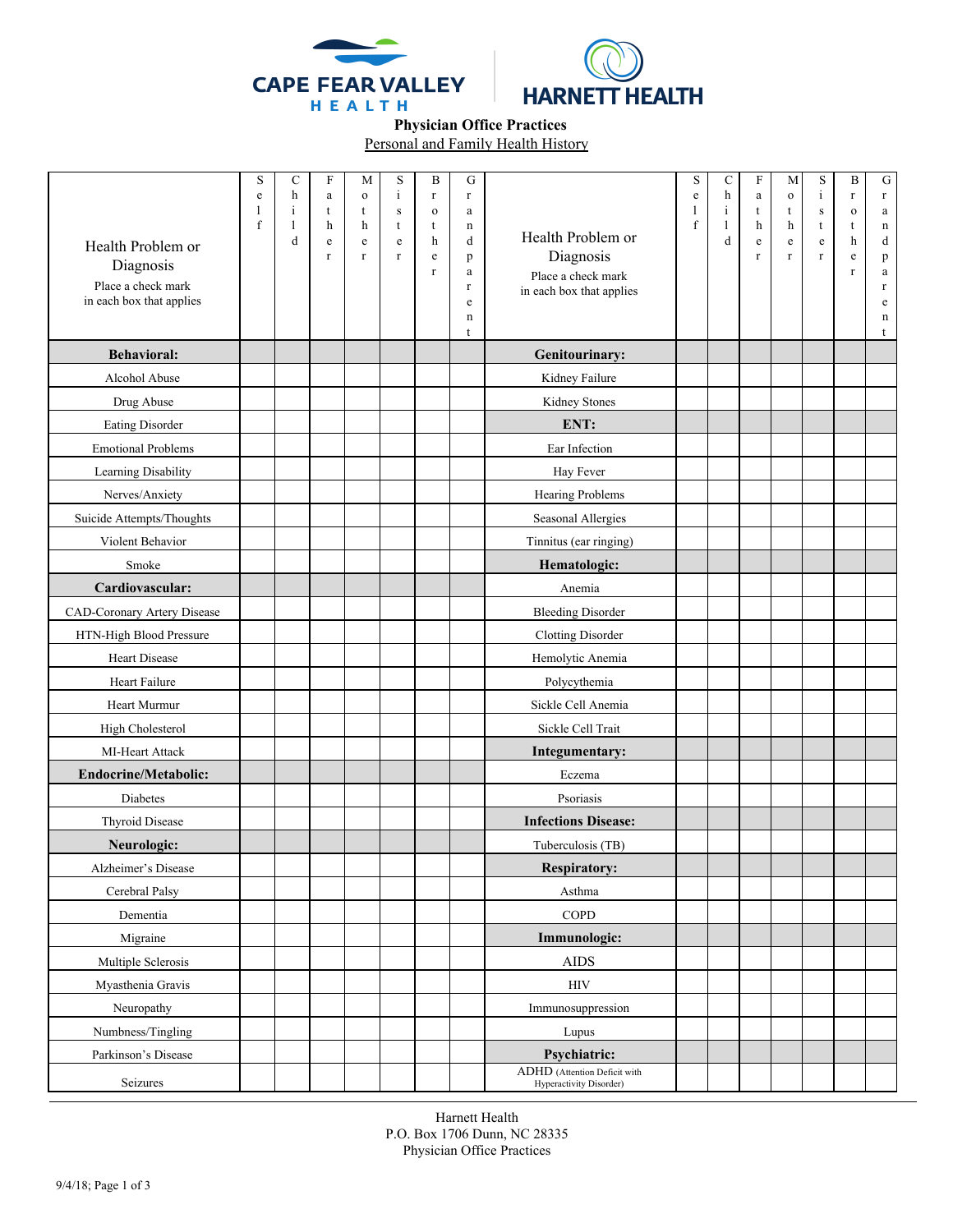



 **Physician Office Practices** 

Personal and Family Health History

| Health Problem or<br>Diagnosis<br>Place a check mark<br>in each box that applies | S<br>e<br>ı<br>f | $\mathbf C$<br>h<br>$\mathbf{i}$<br>1<br>d | F<br>a<br>t<br>h<br>e<br>$\mathbf r$ | М<br>$\mathbf{o}$<br>t<br>h<br>${\bf e}$<br>$\Gamma$ | S<br>$\mathbf{i}$<br>${\bf S}$<br>t<br>e<br>$\mathbf r$ | B<br>$\mathbf r$<br>$\mathbf O$<br>t<br>h<br>$\rm e$<br>r | G<br>$\mathbf r$<br>$\rm{a}$<br>n<br>d<br>p<br>a<br>$\Gamma$<br>e<br>n<br>t | Health Problem or<br>Diagnosis<br>Place a check mark<br>in each box that applies | S<br>e<br>1<br>$\mathbf f$ | C<br>h<br>$\mathbf{i}$<br>1<br>d | $\boldsymbol{\mathrm{F}}$<br>$\rm{a}$<br>t<br>h<br>e<br>r | M<br>$\mathbf{o}$<br>t<br>h<br>e<br>$\Gamma$ | $\mathbf S$<br>$\mathbf{i}$<br>$\mathbf S$<br>t<br>$\mathbf{e}% _{t}\left( t\right)$<br>r | B<br>r<br>$\mathbf O$<br>t<br>h<br>e<br>$\mathbf r$ | ${\bf G}$<br>$\mathbf r$<br>$\mathbf{a}$<br>$\mathbf n$<br>d<br>p<br>$\mathbf a$<br>$\mathbf r$<br>e<br>n<br>t |
|----------------------------------------------------------------------------------|------------------|--------------------------------------------|--------------------------------------|------------------------------------------------------|---------------------------------------------------------|-----------------------------------------------------------|-----------------------------------------------------------------------------|----------------------------------------------------------------------------------|----------------------------|----------------------------------|-----------------------------------------------------------|----------------------------------------------|-------------------------------------------------------------------------------------------|-----------------------------------------------------|----------------------------------------------------------------------------------------------------------------|
| <b>Behavioral:</b>                                                               |                  |                                            |                                      |                                                      |                                                         |                                                           |                                                                             | Genitourinary:                                                                   |                            |                                  |                                                           |                                              |                                                                                           |                                                     |                                                                                                                |
| Alcohol Abuse                                                                    |                  |                                            |                                      |                                                      |                                                         |                                                           |                                                                             | Kidney Failure                                                                   |                            |                                  |                                                           |                                              |                                                                                           |                                                     |                                                                                                                |
| Drug Abuse                                                                       |                  |                                            |                                      |                                                      |                                                         |                                                           |                                                                             | Kidney Stones                                                                    |                            |                                  |                                                           |                                              |                                                                                           |                                                     |                                                                                                                |
| Eating Disorder                                                                  |                  |                                            |                                      |                                                      |                                                         |                                                           |                                                                             | ENT:                                                                             |                            |                                  |                                                           |                                              |                                                                                           |                                                     |                                                                                                                |
| <b>Emotional Problems</b>                                                        |                  |                                            |                                      |                                                      |                                                         |                                                           |                                                                             | Ear Infection                                                                    |                            |                                  |                                                           |                                              |                                                                                           |                                                     |                                                                                                                |
| Learning Disability                                                              |                  |                                            |                                      |                                                      |                                                         |                                                           |                                                                             | Hay Fever                                                                        |                            |                                  |                                                           |                                              |                                                                                           |                                                     |                                                                                                                |
| Nerves/Anxiety                                                                   |                  |                                            |                                      |                                                      |                                                         |                                                           |                                                                             | Hearing Problems                                                                 |                            |                                  |                                                           |                                              |                                                                                           |                                                     |                                                                                                                |
| Suicide Attempts/Thoughts                                                        |                  |                                            |                                      |                                                      |                                                         |                                                           |                                                                             | Seasonal Allergies                                                               |                            |                                  |                                                           |                                              |                                                                                           |                                                     |                                                                                                                |
| Violent Behavior                                                                 |                  |                                            |                                      |                                                      |                                                         |                                                           |                                                                             | Tinnitus (ear ringing)                                                           |                            |                                  |                                                           |                                              |                                                                                           |                                                     |                                                                                                                |
| Smoke                                                                            |                  |                                            |                                      |                                                      |                                                         |                                                           |                                                                             | Hematologic:                                                                     |                            |                                  |                                                           |                                              |                                                                                           |                                                     |                                                                                                                |
| Cardiovascular:                                                                  |                  |                                            |                                      |                                                      |                                                         |                                                           |                                                                             | Anemia                                                                           |                            |                                  |                                                           |                                              |                                                                                           |                                                     |                                                                                                                |
| CAD-Coronary Artery Disease                                                      |                  |                                            |                                      |                                                      |                                                         |                                                           |                                                                             | <b>Bleeding Disorder</b>                                                         |                            |                                  |                                                           |                                              |                                                                                           |                                                     |                                                                                                                |
| HTN-High Blood Pressure                                                          |                  |                                            |                                      |                                                      |                                                         |                                                           |                                                                             | <b>Clotting Disorder</b>                                                         |                            |                                  |                                                           |                                              |                                                                                           |                                                     |                                                                                                                |
| Heart Disease                                                                    |                  |                                            |                                      |                                                      |                                                         |                                                           |                                                                             | Hemolytic Anemia                                                                 |                            |                                  |                                                           |                                              |                                                                                           |                                                     |                                                                                                                |
| Heart Failure                                                                    |                  |                                            |                                      |                                                      |                                                         |                                                           |                                                                             | Polycythemia                                                                     |                            |                                  |                                                           |                                              |                                                                                           |                                                     |                                                                                                                |
| Heart Murmur                                                                     |                  |                                            |                                      |                                                      |                                                         |                                                           |                                                                             | Sickle Cell Anemia                                                               |                            |                                  |                                                           |                                              |                                                                                           |                                                     |                                                                                                                |
| High Cholesterol                                                                 |                  |                                            |                                      |                                                      |                                                         |                                                           |                                                                             | Sickle Cell Trait                                                                |                            |                                  |                                                           |                                              |                                                                                           |                                                     |                                                                                                                |
| MI-Heart Attack                                                                  |                  |                                            |                                      |                                                      |                                                         |                                                           |                                                                             | Integumentary:                                                                   |                            |                                  |                                                           |                                              |                                                                                           |                                                     |                                                                                                                |
| Endocrine/Metabolic:                                                             |                  |                                            |                                      |                                                      |                                                         |                                                           |                                                                             | Eczema                                                                           |                            |                                  |                                                           |                                              |                                                                                           |                                                     |                                                                                                                |
| Diabetes                                                                         |                  |                                            |                                      |                                                      |                                                         |                                                           |                                                                             | Psoriasis                                                                        |                            |                                  |                                                           |                                              |                                                                                           |                                                     |                                                                                                                |
| Thyroid Disease                                                                  |                  |                                            |                                      |                                                      |                                                         |                                                           |                                                                             | <b>Infections Disease:</b>                                                       |                            |                                  |                                                           |                                              |                                                                                           |                                                     |                                                                                                                |
| Neurologic:                                                                      |                  |                                            |                                      |                                                      |                                                         |                                                           |                                                                             | Tuberculosis (TB)                                                                |                            |                                  |                                                           |                                              |                                                                                           |                                                     |                                                                                                                |
| Alzheimer's Disease                                                              |                  |                                            |                                      |                                                      |                                                         |                                                           |                                                                             | <b>Respiratory:</b>                                                              |                            |                                  |                                                           |                                              |                                                                                           |                                                     |                                                                                                                |
| Cerebral Palsy                                                                   |                  |                                            |                                      |                                                      |                                                         |                                                           |                                                                             | Asthma                                                                           |                            |                                  |                                                           |                                              |                                                                                           |                                                     |                                                                                                                |
| Dementia                                                                         |                  |                                            |                                      |                                                      |                                                         |                                                           |                                                                             | COPD                                                                             |                            |                                  |                                                           |                                              |                                                                                           |                                                     |                                                                                                                |
| Migraine                                                                         |                  |                                            |                                      |                                                      |                                                         |                                                           |                                                                             | Immunologic:                                                                     |                            |                                  |                                                           |                                              |                                                                                           |                                                     |                                                                                                                |
| Multiple Sclerosis                                                               |                  |                                            |                                      |                                                      |                                                         |                                                           |                                                                             | <b>AIDS</b>                                                                      |                            |                                  |                                                           |                                              |                                                                                           |                                                     |                                                                                                                |
| Myasthenia Gravis                                                                |                  |                                            |                                      |                                                      |                                                         |                                                           |                                                                             | <b>HIV</b>                                                                       |                            |                                  |                                                           |                                              |                                                                                           |                                                     |                                                                                                                |
| Neuropathy                                                                       |                  |                                            |                                      |                                                      |                                                         |                                                           |                                                                             | Immunosuppression                                                                |                            |                                  |                                                           |                                              |                                                                                           |                                                     |                                                                                                                |
| Numbness/Tingling                                                                |                  |                                            |                                      |                                                      |                                                         |                                                           |                                                                             | Lupus                                                                            |                            |                                  |                                                           |                                              |                                                                                           |                                                     |                                                                                                                |
| Parkinson's Disease                                                              |                  |                                            |                                      |                                                      |                                                         |                                                           |                                                                             | Psychiatric:                                                                     |                            |                                  |                                                           |                                              |                                                                                           |                                                     |                                                                                                                |
| Seizures                                                                         |                  |                                            |                                      |                                                      |                                                         |                                                           |                                                                             | ADHD (Attention Deficit with<br>Hyperactivity Disorder)                          |                            |                                  |                                                           |                                              |                                                                                           |                                                     |                                                                                                                |

Harnett Health P.O. Box 1706 Dunn, NC 28335 Physician Office Practices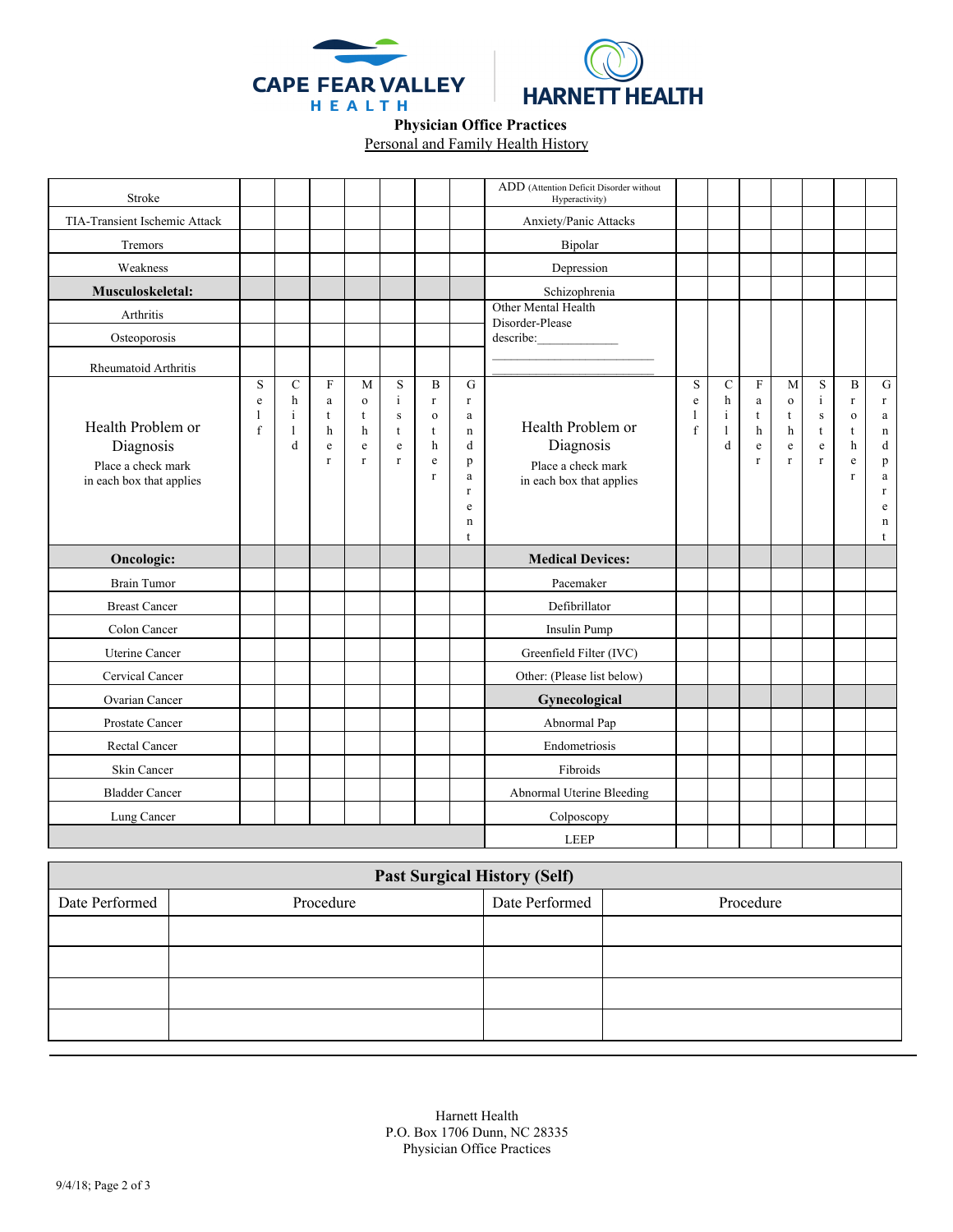



## **Physician Office Practices**  Personal and Family Health History

| Stroke                                                                           |                        |                                                         |                                       |                                                            |                                                                 |                                                                            |                                                                                                  | ADD (Attention Deficit Disorder without<br>Hyperactivity)                        |  |                                              |                                                                  |                                                 |                                                                                 |                                                                  |                                                                                                             |
|----------------------------------------------------------------------------------|------------------------|---------------------------------------------------------|---------------------------------------|------------------------------------------------------------|-----------------------------------------------------------------|----------------------------------------------------------------------------|--------------------------------------------------------------------------------------------------|----------------------------------------------------------------------------------|--|----------------------------------------------|------------------------------------------------------------------|-------------------------------------------------|---------------------------------------------------------------------------------|------------------------------------------------------------------|-------------------------------------------------------------------------------------------------------------|
| TIA-Transient Ischemic Attack                                                    | Anxiety/Panic Attacks  |                                                         |                                       |                                                            |                                                                 |                                                                            |                                                                                                  |                                                                                  |  |                                              |                                                                  |                                                 |                                                                                 |                                                                  |                                                                                                             |
| Tremors                                                                          |                        |                                                         |                                       |                                                            |                                                                 |                                                                            |                                                                                                  | Bipolar                                                                          |  |                                              |                                                                  |                                                 |                                                                                 |                                                                  |                                                                                                             |
| Weakness                                                                         |                        |                                                         |                                       |                                                            |                                                                 |                                                                            |                                                                                                  | Depression                                                                       |  |                                              |                                                                  |                                                 |                                                                                 |                                                                  |                                                                                                             |
| Musculoskeletal:                                                                 |                        |                                                         |                                       |                                                            |                                                                 |                                                                            |                                                                                                  | Schizophrenia                                                                    |  |                                              |                                                                  |                                                 |                                                                                 |                                                                  |                                                                                                             |
| Arthritis                                                                        |                        |                                                         |                                       |                                                            |                                                                 |                                                                            |                                                                                                  | Other Mental Health<br>Disorder-Please                                           |  |                                              |                                                                  |                                                 |                                                                                 |                                                                  |                                                                                                             |
| Osteoporosis                                                                     |                        |                                                         |                                       |                                                            |                                                                 |                                                                            |                                                                                                  | describe:                                                                        |  |                                              |                                                                  |                                                 |                                                                                 |                                                                  |                                                                                                             |
| Rheumatoid Arthritis                                                             |                        |                                                         |                                       |                                                            |                                                                 |                                                                            |                                                                                                  |                                                                                  |  |                                              |                                                                  |                                                 |                                                                                 |                                                                  |                                                                                                             |
| Health Problem or<br>Diagnosis<br>Place a check mark<br>in each box that applies | S<br>$\rm e$<br>1<br>f | $\mathcal{C}$<br>h<br>$\mathbf{i}$<br>$\mathbf{1}$<br>d | $\mathbf{F}$<br>a<br>t<br>h<br>e<br>r | M<br>$\mathbf{o}$<br>t<br>h<br>$\mathbf e$<br>$\mathbf{r}$ | S<br>$\mathbf{i}$<br>$\,$ s<br>t<br>$\mathbf e$<br>$\mathbf{r}$ | B<br>$\mathbf{r}$<br>$\mathbf{o}$<br>$\mathbf t$<br>h<br>e<br>$\mathbf{r}$ | G<br>$\mathbf r$<br>$\rm{a}$<br>$\mathbf n$<br>d<br>p<br>a<br>$\Gamma$<br>e<br>n<br>$\mathsf{t}$ | Health Problem or<br>Diagnosis<br>Place a check mark<br>in each box that applies |  | $\mathcal{C}$<br>h<br>$\mathbf{i}$<br>1<br>d | $\mathbf F$<br>$\rm{a}$<br>t<br>h<br>$\mathbf e$<br>$\mathbf{r}$ | M<br>$\mathbf 0$<br>t<br>h<br>e<br>$\mathbf{r}$ | S<br>$\mathbf{i}$<br>$\, {\bf S}$<br>$\mathbf t$<br>$\mathbf e$<br>$\mathbf{r}$ | B<br>$\mathbf{r}$<br>$\mathbf{o}$<br>t<br>h<br>e<br>$\mathbf{r}$ | ${\rm G}$<br>$\Gamma$<br>$\rm{a}$<br>$\mathbf n$<br>$\mathbf d$<br>p<br>$\rm{a}$<br>$\Gamma$<br>e<br>n<br>t |
| Oncologic:                                                                       |                        |                                                         |                                       |                                                            |                                                                 |                                                                            |                                                                                                  | <b>Medical Devices:</b>                                                          |  |                                              |                                                                  |                                                 |                                                                                 |                                                                  |                                                                                                             |
| <b>Brain Tumor</b>                                                               |                        |                                                         |                                       |                                                            |                                                                 |                                                                            |                                                                                                  | Pacemaker                                                                        |  |                                              |                                                                  |                                                 |                                                                                 |                                                                  |                                                                                                             |
| <b>Breast Cancer</b>                                                             |                        |                                                         |                                       |                                                            |                                                                 |                                                                            |                                                                                                  | Defibrillator                                                                    |  |                                              |                                                                  |                                                 |                                                                                 |                                                                  |                                                                                                             |
| Colon Cancer                                                                     |                        |                                                         |                                       |                                                            |                                                                 |                                                                            |                                                                                                  | <b>Insulin Pump</b>                                                              |  |                                              |                                                                  |                                                 |                                                                                 |                                                                  |                                                                                                             |
| Uterine Cancer                                                                   |                        |                                                         |                                       |                                                            |                                                                 |                                                                            |                                                                                                  | Greenfield Filter (IVC)                                                          |  |                                              |                                                                  |                                                 |                                                                                 |                                                                  |                                                                                                             |
| Cervical Cancer                                                                  |                        |                                                         |                                       |                                                            |                                                                 |                                                                            |                                                                                                  | Other: (Please list below)                                                       |  |                                              |                                                                  |                                                 |                                                                                 |                                                                  |                                                                                                             |
| Ovarian Cancer                                                                   |                        |                                                         |                                       |                                                            |                                                                 |                                                                            |                                                                                                  | Gynecological                                                                    |  |                                              |                                                                  |                                                 |                                                                                 |                                                                  |                                                                                                             |
| Prostate Cancer                                                                  |                        |                                                         |                                       |                                                            |                                                                 |                                                                            |                                                                                                  | Abnormal Pap                                                                     |  |                                              |                                                                  |                                                 |                                                                                 |                                                                  |                                                                                                             |
| Rectal Cancer                                                                    |                        |                                                         |                                       |                                                            |                                                                 |                                                                            |                                                                                                  | Endometriosis                                                                    |  |                                              |                                                                  |                                                 |                                                                                 |                                                                  |                                                                                                             |
| Skin Cancer                                                                      |                        |                                                         |                                       |                                                            |                                                                 |                                                                            |                                                                                                  | Fibroids                                                                         |  |                                              |                                                                  |                                                 |                                                                                 |                                                                  |                                                                                                             |
| <b>Bladder Cancer</b>                                                            |                        |                                                         |                                       |                                                            |                                                                 |                                                                            |                                                                                                  | Abnormal Uterine Bleeding                                                        |  |                                              |                                                                  |                                                 |                                                                                 |                                                                  |                                                                                                             |
| Lung Cancer                                                                      |                        |                                                         |                                       |                                                            |                                                                 |                                                                            |                                                                                                  | Colposcopy                                                                       |  |                                              |                                                                  |                                                 |                                                                                 |                                                                  |                                                                                                             |
|                                                                                  |                        |                                                         |                                       |                                                            |                                                                 |                                                                            |                                                                                                  | <b>LEEP</b>                                                                      |  |                                              |                                                                  |                                                 |                                                                                 |                                                                  |                                                                                                             |

| <b>Past Surgical History (Self)</b> |           |                |           |  |  |  |  |  |
|-------------------------------------|-----------|----------------|-----------|--|--|--|--|--|
| Date Performed                      | Procedure | Date Performed | Procedure |  |  |  |  |  |
|                                     |           |                |           |  |  |  |  |  |
|                                     |           |                |           |  |  |  |  |  |
|                                     |           |                |           |  |  |  |  |  |
|                                     |           |                |           |  |  |  |  |  |

Harnett Health P.O. Box 1706 Dunn, NC 28335 Physician Office Practices